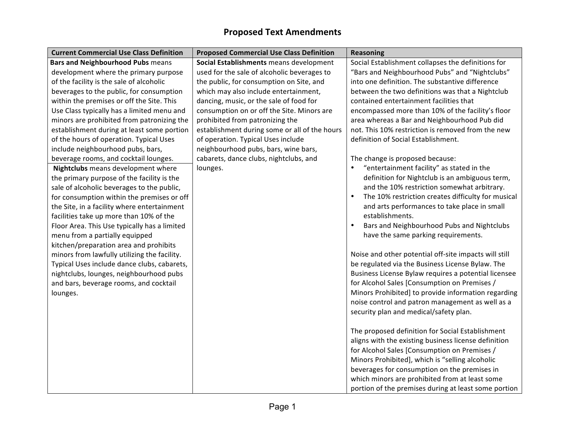## **Proposed Text Amendments**

| <b>Current Commercial Use Class Definition</b> | <b>Proposed Commercial Use Class Definition</b> | Reasoning                                             |
|------------------------------------------------|-------------------------------------------------|-------------------------------------------------------|
| <b>Bars and Neighbourhood Pubs means</b>       | Social Establishments means development         | Social Establishment collapses the definitions for    |
| development where the primary purpose          | used for the sale of alcoholic beverages to     | "Bars and Neighbourhood Pubs" and "Nightclubs"        |
| of the facility is the sale of alcoholic       | the public, for consumption on Site, and        | into one definition. The substantive difference       |
| beverages to the public, for consumption       | which may also include entertainment,           | between the two definitions was that a Nightclub      |
| within the premises or off the Site. This      | dancing, music, or the sale of food for         | contained entertainment facilities that               |
| Use Class typically has a limited menu and     | consumption on or off the Site. Minors are      | encompassed more than 10% of the facility's floor     |
| minors are prohibited from patronizing the     | prohibited from patronizing the                 | area whereas a Bar and Neighbourhood Pub did          |
| establishment during at least some portion     | establishment during some or all of the hours   | not. This 10% restriction is removed from the new     |
| of the hours of operation. Typical Uses        | of operation. Typical Uses include              | definition of Social Establishment.                   |
| include neighbourhood pubs, bars,              | neighbourhood pubs, bars, wine bars,            |                                                       |
| beverage rooms, and cocktail lounges.          | cabarets, dance clubs, nightclubs, and          | The change is proposed because:                       |
| Nightclubs means development where             | lounges.                                        | "entertainment facility" as stated in the             |
| the primary purpose of the facility is the     |                                                 | definition for Nightclub is an ambiguous term,        |
| sale of alcoholic beverages to the public,     |                                                 | and the 10% restriction somewhat arbitrary.           |
| for consumption within the premises or off     |                                                 | The 10% restriction creates difficulty for musical    |
| the Site, in a facility where entertainment    |                                                 | and arts performances to take place in small          |
| facilities take up more than 10% of the        |                                                 | establishments.                                       |
| Floor Area. This Use typically has a limited   |                                                 | Bars and Neighbourhood Pubs and Nightclubs            |
| menu from a partially equipped                 |                                                 | have the same parking requirements.                   |
| kitchen/preparation area and prohibits         |                                                 |                                                       |
| minors from lawfully utilizing the facility.   |                                                 | Noise and other potential off-site impacts will still |
| Typical Uses include dance clubs, cabarets,    |                                                 | be regulated via the Business License Bylaw. The      |
| nightclubs, lounges, neighbourhood pubs        |                                                 | Business License Bylaw requires a potential licensee  |
| and bars, beverage rooms, and cocktail         |                                                 | for Alcohol Sales [Consumption on Premises /          |
| lounges.                                       |                                                 | Minors Prohibited] to provide information regarding   |
|                                                |                                                 | noise control and patron management as well as a      |
|                                                |                                                 | security plan and medical/safety plan.                |
|                                                |                                                 |                                                       |
|                                                |                                                 | The proposed definition for Social Establishment      |
|                                                |                                                 | aligns with the existing business license definition  |
|                                                |                                                 | for Alcohol Sales [Consumption on Premises /          |
|                                                |                                                 | Minors Prohibited], which is "selling alcoholic       |
|                                                |                                                 | beverages for consumption on the premises in          |
|                                                |                                                 | which minors are prohibited from at least some        |
|                                                |                                                 | portion of the premises during at least some portion  |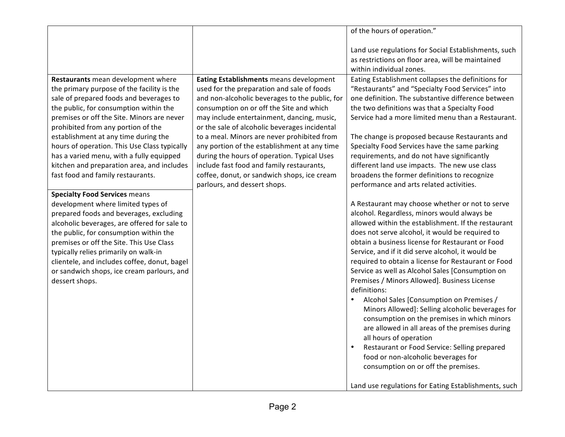|                                                                                                                                                                                                                                                                                                                                                                                                                                                                                                                                                                                                           |                                                                                                                                                                                                                                                                                                                                                                                                                                                                                                                                                              | of the hours of operation."                                                                                                                                                                                                                                                                                                                                                                                                                                                                                                                                                                                                                                                                                                                                                                                  |
|-----------------------------------------------------------------------------------------------------------------------------------------------------------------------------------------------------------------------------------------------------------------------------------------------------------------------------------------------------------------------------------------------------------------------------------------------------------------------------------------------------------------------------------------------------------------------------------------------------------|--------------------------------------------------------------------------------------------------------------------------------------------------------------------------------------------------------------------------------------------------------------------------------------------------------------------------------------------------------------------------------------------------------------------------------------------------------------------------------------------------------------------------------------------------------------|--------------------------------------------------------------------------------------------------------------------------------------------------------------------------------------------------------------------------------------------------------------------------------------------------------------------------------------------------------------------------------------------------------------------------------------------------------------------------------------------------------------------------------------------------------------------------------------------------------------------------------------------------------------------------------------------------------------------------------------------------------------------------------------------------------------|
|                                                                                                                                                                                                                                                                                                                                                                                                                                                                                                                                                                                                           |                                                                                                                                                                                                                                                                                                                                                                                                                                                                                                                                                              | Land use regulations for Social Establishments, such<br>as restrictions on floor area, will be maintained<br>within individual zones.                                                                                                                                                                                                                                                                                                                                                                                                                                                                                                                                                                                                                                                                        |
| Restaurants mean development where<br>the primary purpose of the facility is the<br>sale of prepared foods and beverages to<br>the public, for consumption within the<br>premises or off the Site. Minors are never<br>prohibited from any portion of the<br>establishment at any time during the<br>hours of operation. This Use Class typically<br>has a varied menu, with a fully equipped<br>kitchen and preparation area, and includes<br>fast food and family restaurants.<br><b>Specialty Food Services means</b><br>development where limited types of<br>prepared foods and beverages, excluding | Eating Establishments means development<br>used for the preparation and sale of foods<br>and non-alcoholic beverages to the public, for<br>consumption on or off the Site and which<br>may include entertainment, dancing, music,<br>or the sale of alcoholic beverages incidental<br>to a meal. Minors are never prohibited from<br>any portion of the establishment at any time<br>during the hours of operation. Typical Uses<br>include fast food and family restaurants,<br>coffee, donut, or sandwich shops, ice cream<br>parlours, and dessert shops. | Eating Establishment collapses the definitions for<br>"Restaurants" and "Specialty Food Services" into<br>one definition. The substantive difference between<br>the two definitions was that a Specialty Food<br>Service had a more limited menu than a Restaurant.<br>The change is proposed because Restaurants and<br>Specialty Food Services have the same parking<br>requirements, and do not have significantly<br>different land use impacts. The new use class<br>broadens the former definitions to recognize<br>performance and arts related activities.<br>A Restaurant may choose whether or not to serve<br>alcohol. Regardless, minors would always be                                                                                                                                         |
| alcoholic beverages, are offered for sale to<br>the public, for consumption within the<br>premises or off the Site. This Use Class<br>typically relies primarily on walk-in<br>clientele, and includes coffee, donut, bagel<br>or sandwich shops, ice cream parlours, and<br>dessert shops.                                                                                                                                                                                                                                                                                                               |                                                                                                                                                                                                                                                                                                                                                                                                                                                                                                                                                              | allowed within the establishment. If the restaurant<br>does not serve alcohol, it would be required to<br>obtain a business license for Restaurant or Food<br>Service, and if it did serve alcohol, it would be<br>required to obtain a license for Restaurant or Food<br>Service as well as Alcohol Sales [Consumption on<br>Premises / Minors Allowed]. Business License<br>definitions:<br>Alcohol Sales [Consumption on Premises /<br>Minors Allowed]: Selling alcoholic beverages for<br>consumption on the premises in which minors<br>are allowed in all areas of the premises during<br>all hours of operation<br>Restaurant or Food Service: Selling prepared<br>food or non-alcoholic beverages for<br>consumption on or off the premises.<br>Land use regulations for Eating Establishments, such |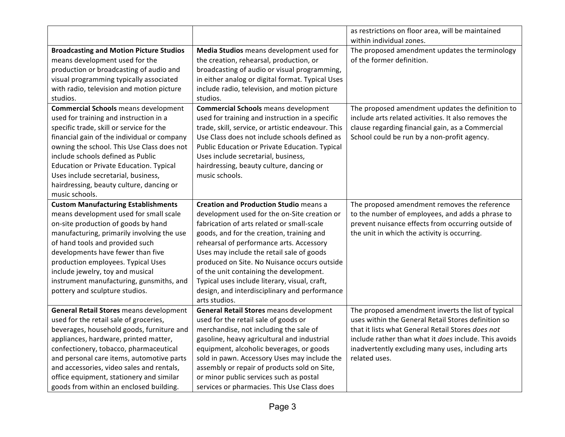|                                                |                                                    | as restrictions on floor area, will be maintained     |
|------------------------------------------------|----------------------------------------------------|-------------------------------------------------------|
|                                                |                                                    | within individual zones.                              |
| <b>Broadcasting and Motion Picture Studios</b> | Media Studios means development used for           | The proposed amendment updates the terminology        |
| means development used for the                 | the creation, rehearsal, production, or            | of the former definition.                             |
| production or broadcasting of audio and        | broadcasting of audio or visual programming,       |                                                       |
| visual programming typically associated        | in either analog or digital format. Typical Uses   |                                                       |
| with radio, television and motion picture      | include radio, television, and motion picture      |                                                       |
| studios.                                       | studios.                                           |                                                       |
| <b>Commercial Schools</b> means development    | <b>Commercial Schools</b> means development        | The proposed amendment updates the definition to      |
| used for training and instruction in a         | used for training and instruction in a specific    | include arts related activities. It also removes the  |
| specific trade, skill or service for the       | trade, skill, service, or artistic endeavour. This | clause regarding financial gain, as a Commercial      |
| financial gain of the individual or company    | Use Class does not include schools defined as      | School could be run by a non-profit agency.           |
| owning the school. This Use Class does not     | Public Education or Private Education. Typical     |                                                       |
| include schools defined as Public              | Uses include secretarial, business,                |                                                       |
| <b>Education or Private Education. Typical</b> | hairdressing, beauty culture, dancing or           |                                                       |
| Uses include secretarial, business,            | music schools.                                     |                                                       |
| hairdressing, beauty culture, dancing or       |                                                    |                                                       |
| music schools.                                 |                                                    |                                                       |
| <b>Custom Manufacturing Establishments</b>     | <b>Creation and Production Studio means a</b>      | The proposed amendment removes the reference          |
| means development used for small scale         | development used for the on-Site creation or       | to the number of employees, and adds a phrase to      |
| on-site production of goods by hand            | fabrication of arts related or small-scale         | prevent nuisance effects from occurring outside of    |
| manufacturing, primarily involving the use     | goods, and for the creation, training and          | the unit in which the activity is occurring.          |
| of hand tools and provided such                | rehearsal of performance arts. Accessory           |                                                       |
| developments have fewer than five              | Uses may include the retail sale of goods          |                                                       |
| production employees. Typical Uses             | produced on Site. No Nuisance occurs outside       |                                                       |
| include jewelry, toy and musical               | of the unit containing the development.            |                                                       |
| instrument manufacturing, gunsmiths, and       | Typical uses include literary, visual, craft,      |                                                       |
| pottery and sculpture studios.                 | design, and interdisciplinary and performance      |                                                       |
|                                                | arts studios.                                      |                                                       |
| General Retail Stores means development        | General Retail Stores means development            | The proposed amendment inverts the list of typical    |
| used for the retail sale of groceries,         | used for the retail sale of goods or               | uses within the General Retail Stores definition so   |
| beverages, household goods, furniture and      | merchandise, not including the sale of             | that it lists what General Retail Stores does not     |
| appliances, hardware, printed matter,          | gasoline, heavy agricultural and industrial        | include rather than what it does include. This avoids |
| confectionery, tobacco, pharmaceutical         | equipment, alcoholic beverages, or goods           | inadvertently excluding many uses, including arts     |
| and personal care items, automotive parts      | sold in pawn. Accessory Uses may include the       | related uses.                                         |
| and accessories, video sales and rentals,      | assembly or repair of products sold on Site,       |                                                       |
| office equipment, stationery and similar       | or minor public services such as postal            |                                                       |
| goods from within an enclosed building.        | services or pharmacies. This Use Class does        |                                                       |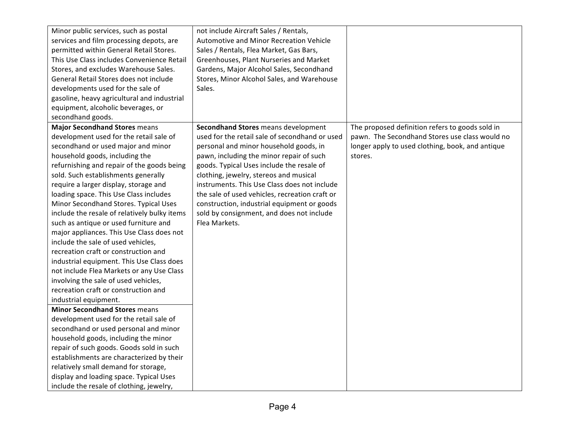| Minor public services, such as postal        | not include Aircraft Sales / Rentals,          |                                                  |
|----------------------------------------------|------------------------------------------------|--------------------------------------------------|
| services and film processing depots, are     | Automotive and Minor Recreation Vehicle        |                                                  |
| permitted within General Retail Stores.      | Sales / Rentals, Flea Market, Gas Bars,        |                                                  |
| This Use Class includes Convenience Retail   | Greenhouses, Plant Nurseries and Market        |                                                  |
| Stores, and excludes Warehouse Sales.        | Gardens, Major Alcohol Sales, Secondhand       |                                                  |
| General Retail Stores does not include       | Stores, Minor Alcohol Sales, and Warehouse     |                                                  |
| developments used for the sale of            | Sales.                                         |                                                  |
| gasoline, heavy agricultural and industrial  |                                                |                                                  |
| equipment, alcoholic beverages, or           |                                                |                                                  |
| secondhand goods.                            |                                                |                                                  |
| <b>Major Secondhand Stores means</b>         | Secondhand Stores means development            | The proposed definition refers to goods sold in  |
| development used for the retail sale of      | used for the retail sale of secondhand or used | pawn. The Secondhand Stores use class would no   |
| secondhand or used major and minor           | personal and minor household goods, in         | longer apply to used clothing, book, and antique |
| household goods, including the               | pawn, including the minor repair of such       | stores.                                          |
| refurnishing and repair of the goods being   | goods. Typical Uses include the resale of      |                                                  |
| sold. Such establishments generally          | clothing, jewelry, stereos and musical         |                                                  |
| require a larger display, storage and        | instruments. This Use Class does not include   |                                                  |
| loading space. This Use Class includes       | the sale of used vehicles, recreation craft or |                                                  |
| Minor Secondhand Stores. Typical Uses        | construction, industrial equipment or goods    |                                                  |
| include the resale of relatively bulky items | sold by consignment, and does not include      |                                                  |
| such as antique or used furniture and        | Flea Markets.                                  |                                                  |
| major appliances. This Use Class does not    |                                                |                                                  |
| include the sale of used vehicles,           |                                                |                                                  |
| recreation craft or construction and         |                                                |                                                  |
| industrial equipment. This Use Class does    |                                                |                                                  |
| not include Flea Markets or any Use Class    |                                                |                                                  |
| involving the sale of used vehicles,         |                                                |                                                  |
| recreation craft or construction and         |                                                |                                                  |
| industrial equipment.                        |                                                |                                                  |
| <b>Minor Secondhand Stores means</b>         |                                                |                                                  |
| development used for the retail sale of      |                                                |                                                  |
| secondhand or used personal and minor        |                                                |                                                  |
| household goods, including the minor         |                                                |                                                  |
| repair of such goods. Goods sold in such     |                                                |                                                  |
| establishments are characterized by their    |                                                |                                                  |
| relatively small demand for storage,         |                                                |                                                  |
| display and loading space. Typical Uses      |                                                |                                                  |
| include the resale of clothing, jewelry,     |                                                |                                                  |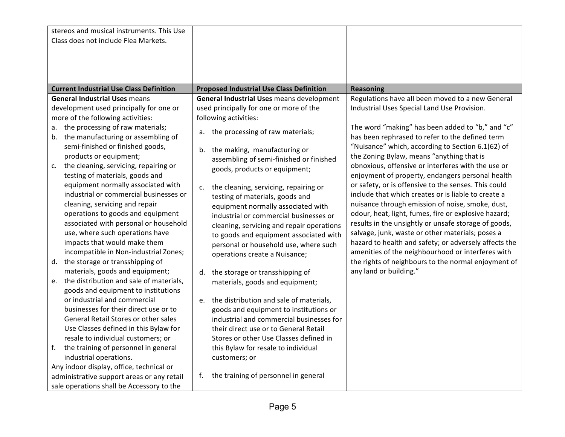| stereos and musical instruments. This Use      |                                                 |                                                       |
|------------------------------------------------|-------------------------------------------------|-------------------------------------------------------|
| Class does not include Flea Markets.           |                                                 |                                                       |
|                                                |                                                 |                                                       |
|                                                |                                                 |                                                       |
|                                                |                                                 |                                                       |
|                                                |                                                 |                                                       |
| <b>Current Industrial Use Class Definition</b> | <b>Proposed Industrial Use Class Definition</b> | Reasoning                                             |
| <b>General Industrial Uses means</b>           | General Industrial Uses means development       | Regulations have all been moved to a new General      |
| development used principally for one or        | used principally for one or more of the         | Industrial Uses Special Land Use Provision.           |
| more of the following activities:              | following activities:                           |                                                       |
| a. the processing of raw materials;            | a. the processing of raw materials;             | The word "making" has been added to "b," and "c"      |
| b. the manufacturing or assembling of          |                                                 | has been rephrased to refer to the defined term       |
| semi-finished or finished goods,               | the making, manufacturing or<br>b.              | "Nuisance" which, according to Section 6.1(62) of     |
| products or equipment;                         | assembling of semi-finished or finished         | the Zoning Bylaw, means "anything that is             |
| the cleaning, servicing, repairing or<br>c.    | goods, products or equipment;                   | obnoxious, offensive or interferes with the use or    |
| testing of materials, goods and                |                                                 | enjoyment of property, endangers personal health      |
| equipment normally associated with             | the cleaning, servicing, repairing or<br>c.     | or safety, or is offensive to the senses. This could  |
| industrial or commercial businesses or         | testing of materials, goods and                 | include that which creates or is liable to create a   |
| cleaning, servicing and repair                 | equipment normally associated with              | nuisance through emission of noise, smoke, dust,      |
| operations to goods and equipment              | industrial or commercial businesses or          | odour, heat, light, fumes, fire or explosive hazard;  |
| associated with personal or household          | cleaning, servicing and repair operations       | results in the unsightly or unsafe storage of goods,  |
| use, where such operations have                | to goods and equipment associated with          | salvage, junk, waste or other materials; poses a      |
| impacts that would make them                   | personal or household use, where such           | hazard to health and safety; or adversely affects the |
| incompatible in Non-industrial Zones;          | operations create a Nuisance;                   | amenities of the neighbourhood or interferes with     |
| the storage or transshipping of<br>d.          |                                                 | the rights of neighbours to the normal enjoyment of   |
| materials, goods and equipment;                | d. the storage or transshipping of              | any land or building."                                |
| the distribution and sale of materials,<br>e.  | materials, goods and equipment;                 |                                                       |
| goods and equipment to institutions            |                                                 |                                                       |
| or industrial and commercial                   | e. the distribution and sale of materials,      |                                                       |
| businesses for their direct use or to          | goods and equipment to institutions or          |                                                       |
| General Retail Stores or other sales           | industrial and commercial businesses for        |                                                       |
| Use Classes defined in this Bylaw for          | their direct use or to General Retail           |                                                       |
| resale to individual customers; or             | Stores or other Use Classes defined in          |                                                       |
| the training of personnel in general<br>f.     | this Bylaw for resale to individual             |                                                       |
| industrial operations.                         | customers; or                                   |                                                       |
| Any indoor display, office, technical or       |                                                 |                                                       |
| administrative support areas or any retail     | the training of personnel in general<br>f.      |                                                       |
| sale operations shall be Accessory to the      |                                                 |                                                       |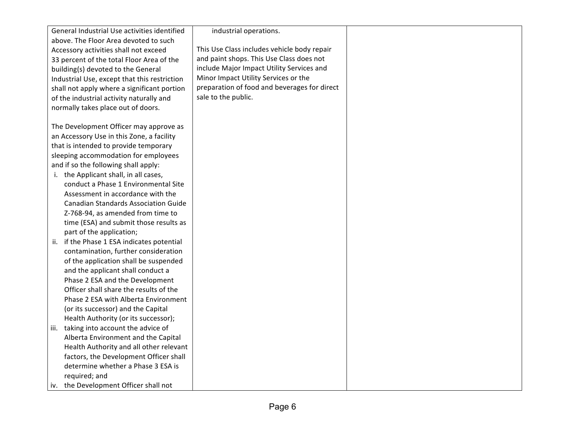| General Industrial Use activities identified  | industrial operations.                       |  |
|-----------------------------------------------|----------------------------------------------|--|
| above. The Floor Area devoted to such         |                                              |  |
| Accessory activities shall not exceed         | This Use Class includes vehicle body repair  |  |
| 33 percent of the total Floor Area of the     | and paint shops. This Use Class does not     |  |
| building(s) devoted to the General            | include Major Impact Utility Services and    |  |
| Industrial Use, except that this restriction  | Minor Impact Utility Services or the         |  |
| shall not apply where a significant portion   | preparation of food and beverages for direct |  |
| of the industrial activity naturally and      | sale to the public.                          |  |
| normally takes place out of doors.            |                                              |  |
|                                               |                                              |  |
| The Development Officer may approve as        |                                              |  |
| an Accessory Use in this Zone, a facility     |                                              |  |
| that is intended to provide temporary         |                                              |  |
| sleeping accommodation for employees          |                                              |  |
| and if so the following shall apply:          |                                              |  |
| i. the Applicant shall, in all cases,         |                                              |  |
| conduct a Phase 1 Environmental Site          |                                              |  |
| Assessment in accordance with the             |                                              |  |
| <b>Canadian Standards Association Guide</b>   |                                              |  |
| Z-768-94, as amended from time to             |                                              |  |
| time (ESA) and submit those results as        |                                              |  |
| part of the application;                      |                                              |  |
| if the Phase 1 ESA indicates potential<br>ii. |                                              |  |
| contamination, further consideration          |                                              |  |
| of the application shall be suspended         |                                              |  |
| and the applicant shall conduct a             |                                              |  |
| Phase 2 ESA and the Development               |                                              |  |
| Officer shall share the results of the        |                                              |  |
| Phase 2 ESA with Alberta Environment          |                                              |  |
| (or its successor) and the Capital            |                                              |  |
| Health Authority (or its successor);          |                                              |  |
| taking into account the advice of<br>iii.     |                                              |  |
| Alberta Environment and the Capital           |                                              |  |
| Health Authority and all other relevant       |                                              |  |
| factors, the Development Officer shall        |                                              |  |
| determine whether a Phase 3 ESA is            |                                              |  |
| required; and                                 |                                              |  |
| iv. the Development Officer shall not         |                                              |  |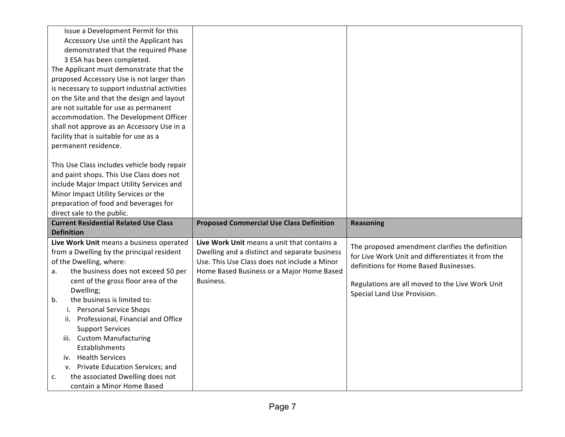| issue a Development Permit for this<br>Accessory Use until the Applicant has<br>demonstrated that the required Phase<br>3 ESA has been completed.<br>The Applicant must demonstrate that the<br>proposed Accessory Use is not larger than<br>is necessary to support industrial activities<br>on the Site and that the design and layout                                                                                       |                                                                                                                                                                                                        |                                                                                                                                                                                                                                  |
|--------------------------------------------------------------------------------------------------------------------------------------------------------------------------------------------------------------------------------------------------------------------------------------------------------------------------------------------------------------------------------------------------------------------------------|--------------------------------------------------------------------------------------------------------------------------------------------------------------------------------------------------------|----------------------------------------------------------------------------------------------------------------------------------------------------------------------------------------------------------------------------------|
| are not suitable for use as permanent<br>accommodation. The Development Officer<br>shall not approve as an Accessory Use in a<br>facility that is suitable for use as a<br>permanent residence.                                                                                                                                                                                                                                |                                                                                                                                                                                                        |                                                                                                                                                                                                                                  |
| This Use Class includes vehicle body repair<br>and paint shops. This Use Class does not<br>include Major Impact Utility Services and<br>Minor Impact Utility Services or the<br>preparation of food and beverages for<br>direct sale to the public.                                                                                                                                                                            |                                                                                                                                                                                                        |                                                                                                                                                                                                                                  |
| <b>Current Residential Related Use Class</b><br><b>Definition</b>                                                                                                                                                                                                                                                                                                                                                              | <b>Proposed Commercial Use Class Definition</b>                                                                                                                                                        | <b>Reasoning</b>                                                                                                                                                                                                                 |
| Live Work Unit means a business operated<br>from a Dwelling by the principal resident<br>of the Dwelling, where:<br>the business does not exceed 50 per<br>а.<br>cent of the gross floor area of the<br>Dwelling;<br>the business is limited to:<br>b.<br>i. Personal Service Shops<br>ii. Professional, Financial and Office<br><b>Support Services</b><br>iii. Custom Manufacturing<br>Establishments<br>iv. Health Services | Live Work Unit means a unit that contains a<br>Dwelling and a distinct and separate business<br>Use. This Use Class does not include a Minor<br>Home Based Business or a Major Home Based<br>Business. | The proposed amendment clarifies the definition<br>for Live Work Unit and differentiates it from the<br>definitions for Home Based Businesses.<br>Regulations are all moved to the Live Work Unit<br>Special Land Use Provision. |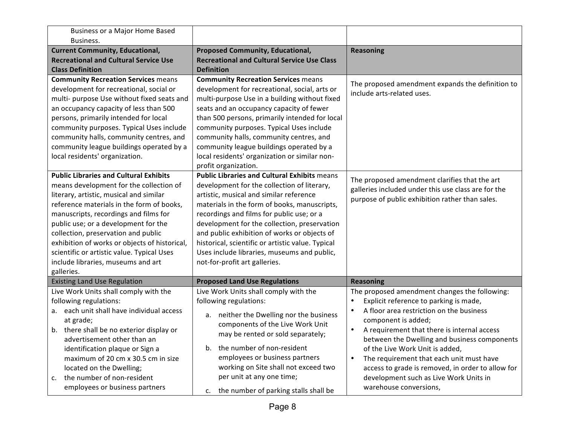| Business or a Major Home Based                      |                                                     |                                                          |
|-----------------------------------------------------|-----------------------------------------------------|----------------------------------------------------------|
| Business.<br><b>Current Community, Educational,</b> | <b>Proposed Community, Educational,</b>             | <b>Reasoning</b>                                         |
| <b>Recreational and Cultural Service Use</b>        | <b>Recreational and Cultural Service Use Class</b>  |                                                          |
| <b>Class Definition</b>                             | <b>Definition</b>                                   |                                                          |
| <b>Community Recreation Services means</b>          | <b>Community Recreation Services means</b>          |                                                          |
| development for recreational, social or             | development for recreational, social, arts or       | The proposed amendment expands the definition to         |
| multi- purpose Use without fixed seats and          | multi-purpose Use in a building without fixed       | include arts-related uses.                               |
| an occupancy capacity of less than 500              | seats and an occupancy capacity of fewer            |                                                          |
| persons, primarily intended for local               | than 500 persons, primarily intended for local      |                                                          |
| community purposes. Typical Uses include            | community purposes. Typical Uses include            |                                                          |
| community halls, community centres, and             | community halls, community centres, and             |                                                          |
| community league buildings operated by a            | community league buildings operated by a            |                                                          |
| local residents' organization.                      | local residents' organization or similar non-       |                                                          |
|                                                     | profit organization.                                |                                                          |
| <b>Public Libraries and Cultural Exhibits</b>       | <b>Public Libraries and Cultural Exhibits means</b> |                                                          |
| means development for the collection of             | development for the collection of literary,         | The proposed amendment clarifies that the art            |
| literary, artistic, musical and similar             | artistic, musical and similar reference             | galleries included under this use class are for the      |
| reference materials in the form of books,           | materials in the form of books, manuscripts,        | purpose of public exhibition rather than sales.          |
| manuscripts, recordings and films for               | recordings and films for public use; or a           |                                                          |
| public use; or a development for the                | development for the collection, preservation        |                                                          |
| collection, preservation and public                 | and public exhibition of works or objects of        |                                                          |
| exhibition of works or objects of historical,       | historical, scientific or artistic value. Typical   |                                                          |
| scientific or artistic value. Typical Uses          | Uses include libraries, museums and public,         |                                                          |
| include libraries, museums and art                  | not-for-profit art galleries.                       |                                                          |
| galleries.                                          |                                                     |                                                          |
| <b>Existing Land Use Regulation</b>                 | <b>Proposed Land Use Regulations</b>                | <b>Reasoning</b>                                         |
| Live Work Units shall comply with the               | Live Work Units shall comply with the               | The proposed amendment changes the following:            |
| following regulations:                              | following regulations:                              | Explicit reference to parking is made,<br>$\bullet$      |
| each unit shall have individual access<br>а.        | a. neither the Dwelling nor the business            | A floor area restriction on the business<br>$\bullet$    |
| at grade;                                           | components of the Live Work Unit                    | component is added;                                      |
| b. there shall be no exterior display or            | may be rented or sold separately;                   | A requirement that there is internal access<br>$\bullet$ |
| advertisement other than an                         |                                                     | between the Dwelling and business components             |
| identification plaque or Sign a                     | b. the number of non-resident                       | of the Live Work Unit is added,                          |
| maximum of 20 cm x 30.5 cm in size                  | employees or business partners                      | The requirement that each unit must have<br>$\bullet$    |
| located on the Dwelling;                            | working on Site shall not exceed two                | access to grade is removed, in order to allow for        |
| the number of non-resident<br>c.                    | per unit at any one time;                           | development such as Live Work Units in                   |
| employees or business partners                      | c. the number of parking stalls shall be            | warehouse conversions,                                   |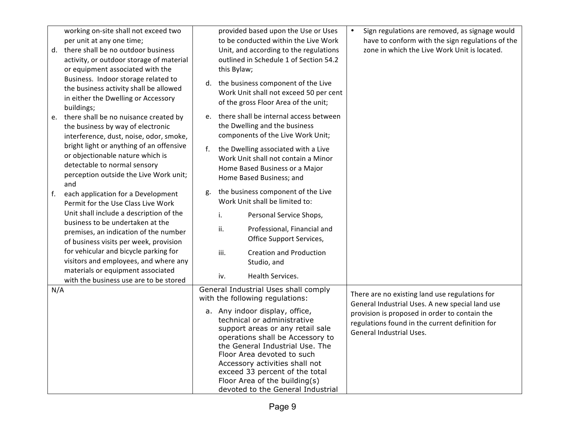| d.  | working on-site shall not exceed two<br>per unit at any one time;<br>there shall be no outdoor business<br>activity, or outdoor storage of material<br>or equipment associated with the<br>Business. Indoor storage related to<br>the business activity shall be allowed |    | provided based upon the Use or Uses<br>to be conducted within the Live Work<br>Unit, and according to the regulations<br>outlined in Schedule 1 of Section 54.2<br>this Bylaw;<br>d. the business component of the Live<br>Work Unit shall not exceed 50 per cent                                                                                | Sign regulations are removed, as signage would<br>$\bullet$<br>have to conform with the sign regulations of the<br>zone in which the Live Work Unit is located. |
|-----|--------------------------------------------------------------------------------------------------------------------------------------------------------------------------------------------------------------------------------------------------------------------------|----|--------------------------------------------------------------------------------------------------------------------------------------------------------------------------------------------------------------------------------------------------------------------------------------------------------------------------------------------------|-----------------------------------------------------------------------------------------------------------------------------------------------------------------|
| e.  | in either the Dwelling or Accessory<br>buildings;<br>there shall be no nuisance created by<br>the business by way of electronic<br>interference, dust, noise, odor, smoke,                                                                                               | e. | of the gross Floor Area of the unit;<br>there shall be internal access between<br>the Dwelling and the business<br>components of the Live Work Unit;                                                                                                                                                                                             |                                                                                                                                                                 |
|     | bright light or anything of an offensive<br>or objectionable nature which is<br>detectable to normal sensory<br>perception outside the Live Work unit;<br>and                                                                                                            | f. | the Dwelling associated with a Live<br>Work Unit shall not contain a Minor<br>Home Based Business or a Major<br>Home Based Business; and                                                                                                                                                                                                         |                                                                                                                                                                 |
| f.  | each application for a Development<br>Permit for the Use Class Live Work<br>Unit shall include a description of the                                                                                                                                                      | g. | the business component of the Live<br>Work Unit shall be limited to:                                                                                                                                                                                                                                                                             |                                                                                                                                                                 |
|     | business to be undertaken at the<br>premises, an indication of the number<br>of business visits per week, provision                                                                                                                                                      |    | i.<br>Personal Service Shops,<br>ii.<br>Professional, Financial and<br>Office Support Services,                                                                                                                                                                                                                                                  |                                                                                                                                                                 |
|     | for vehicular and bicycle parking for<br>visitors and employees, and where any<br>materials or equipment associated                                                                                                                                                      |    | iii.<br><b>Creation and Production</b><br>Studio, and                                                                                                                                                                                                                                                                                            |                                                                                                                                                                 |
|     | with the business use are to be stored                                                                                                                                                                                                                                   |    | Health Services.<br>iv.                                                                                                                                                                                                                                                                                                                          |                                                                                                                                                                 |
| N/A |                                                                                                                                                                                                                                                                          |    | General Industrial Uses shall comply<br>with the following regulations:                                                                                                                                                                                                                                                                          | There are no existing land use regulations for<br>General Industrial Uses. A new special land use                                                               |
|     |                                                                                                                                                                                                                                                                          |    | a. Any indoor display, office,<br>technical or administrative<br>support areas or any retail sale<br>operations shall be Accessory to<br>the General Industrial Use. The<br>Floor Area devoted to such<br>Accessory activities shall not<br>exceed 33 percent of the total<br>Floor Area of the building(s)<br>devoted to the General Industrial | provision is proposed in order to contain the<br>regulations found in the current definition for<br>General Industrial Uses.                                    |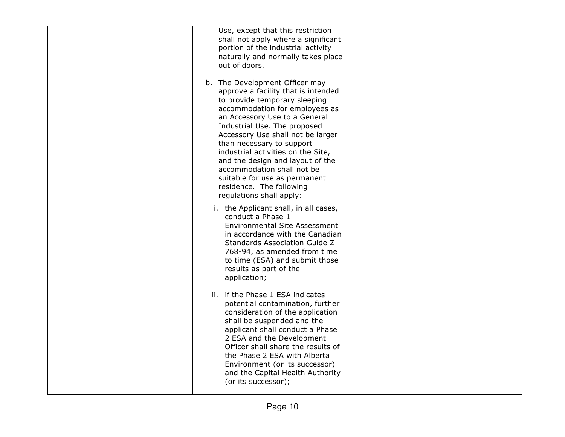| Use, except that this restriction<br>shall not apply where a significant<br>portion of the industrial activity<br>naturally and normally takes place<br>out of doors.                                                                                                                                                                                                                                                                                                        |  |
|------------------------------------------------------------------------------------------------------------------------------------------------------------------------------------------------------------------------------------------------------------------------------------------------------------------------------------------------------------------------------------------------------------------------------------------------------------------------------|--|
| b. The Development Officer may<br>approve a facility that is intended<br>to provide temporary sleeping<br>accommodation for employees as<br>an Accessory Use to a General<br>Industrial Use. The proposed<br>Accessory Use shall not be larger<br>than necessary to support<br>industrial activities on the Site,<br>and the design and layout of the<br>accommodation shall not be<br>suitable for use as permanent<br>residence. The following<br>regulations shall apply: |  |
| i. the Applicant shall, in all cases,<br>conduct a Phase 1<br><b>Environmental Site Assessment</b><br>in accordance with the Canadian<br>Standards Association Guide Z-<br>768-94, as amended from time<br>to time (ESA) and submit those<br>results as part of the<br>application;                                                                                                                                                                                          |  |
| ii. if the Phase 1 ESA indicates<br>potential contamination, further<br>consideration of the application<br>shall be suspended and the<br>applicant shall conduct a Phase<br>2 ESA and the Development<br>Officer shall share the results of<br>the Phase 2 ESA with Alberta<br>Environment (or its successor)<br>and the Capital Health Authority<br>(or its successor);                                                                                                    |  |